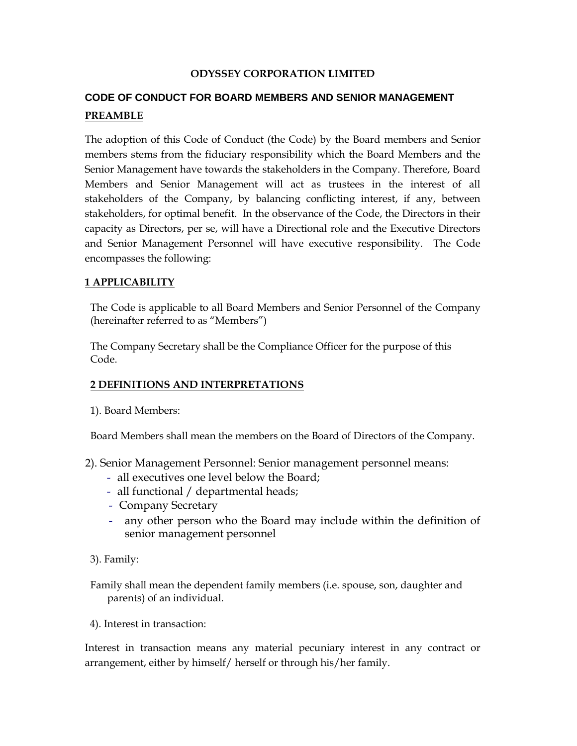#### **ODYSSEY CORPORATION LIMITED**

# **CODE OF CONDUCT FOR BOARD MEMBERS AND SENIOR MANAGEMENT PREAMBLE**

The adoption of this Code of Conduct (the Code) by the Board members and Senior members stems from the fiduciary responsibility which the Board Members and the Senior Management have towards the stakeholders in the Company. Therefore, Board Members and Senior Management will act as trustees in the interest of all stakeholders of the Company, by balancing conflicting interest, if any, between stakeholders, for optimal benefit. In the observance of the Code, the Directors in their capacity as Directors, per se, will have a Directional role and the Executive Directors and Senior Management Personnel will have executive responsibility. The Code encompasses the following:

## **1 APPLICABILITY**

The Code is applicable to all Board Members and Senior Personnel of the Company (hereinafter referred to as "Members")

The Company Secretary shall be the Compliance Officer for the purpose of this Code.

## **2 DEFINITIONS AND INTERPRETATIONS**

1). Board Members:

Board Members shall mean the members on the Board of Directors of the Company.

2). Senior Management Personnel: Senior management personnel means:

- all executives one level below the Board;
- all functional / departmental heads;
- Company Secretary
- any other person who the Board may include within the definition of senior management personnel

3). Family:

Family shall mean the dependent family members (i.e. spouse, son, daughter and parents) of an individual.

4). Interest in transaction:

Interest in transaction means any material pecuniary interest in any contract or arrangement, either by himself/ herself or through his/her family.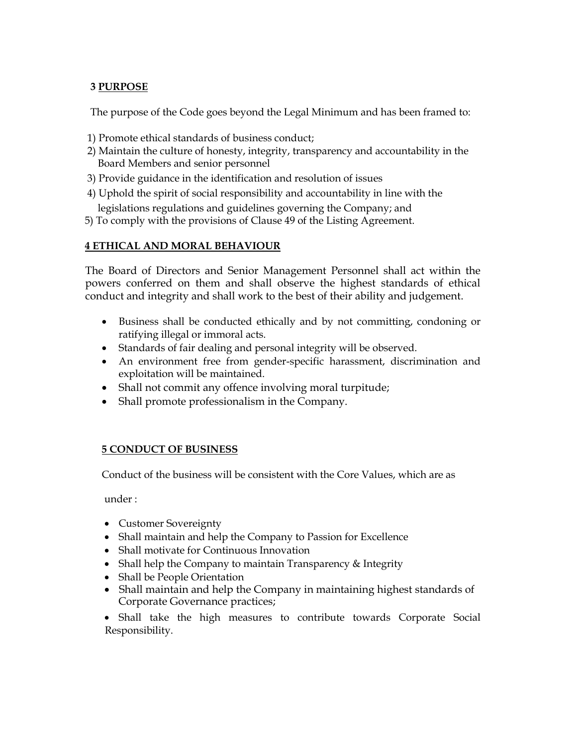# **3 PURPOSE**

The purpose of the Code goes beyond the Legal Minimum and has been framed to:

- 1) Promote ethical standards of business conduct;
- 2) Maintain the culture of honesty, integrity, transparency and accountability in the Board Members and senior personnel
- 3) Provide guidance in the identification and resolution of issues
- 4) Uphold the spirit of social responsibility and accountability in line with the

legislations regulations and guidelines governing the Company; and

5) To comply with the provisions of Clause 49 of the Listing Agreement.

# **4 ETHICAL AND MORAL BEHAVIOUR**

The Board of Directors and Senior Management Personnel shall act within the powers conferred on them and shall observe the highest standards of ethical conduct and integrity and shall work to the best of their ability and judgement.

- Business shall be conducted ethically and by not committing, condoning or ratifying illegal or immoral acts.
- Standards of fair dealing and personal integrity will be observed.
- An environment free from gender-specific harassment, discrimination and exploitation will be maintained.
- Shall not commit any offence involving moral turpitude;
- Shall promote professionalism in the Company.

## **5 CONDUCT OF BUSINESS**

Conduct of the business will be consistent with the Core Values, which are as

under :

- Customer Sovereignty
- Shall maintain and help the Company to Passion for Excellence
- Shall motivate for Continuous Innovation
- Shall help the Company to maintain Transparency & Integrity
- Shall be People Orientation
- Shall maintain and help the Company in maintaining highest standards of Corporate Governance practices;

 Shall take the high measures to contribute towards Corporate Social Responsibility.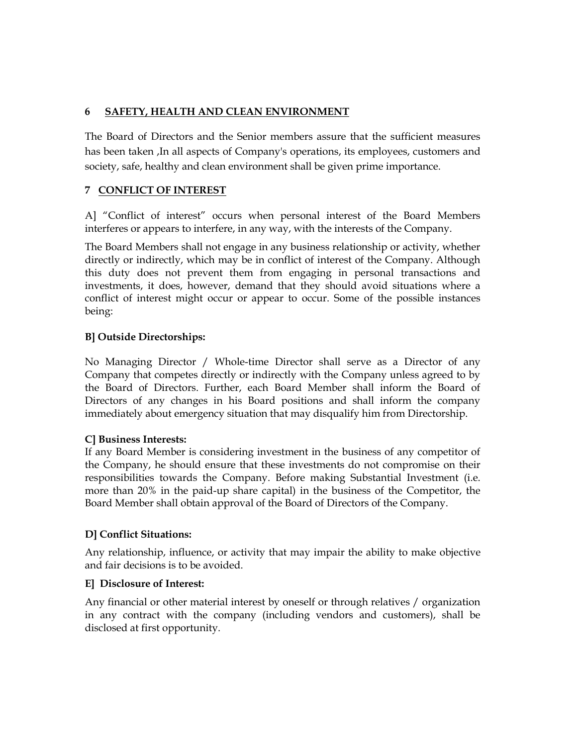# **6 SAFETY, HEALTH AND CLEAN ENVIRONMENT**

The Board of Directors and the Senior members assure that the sufficient measures has been taken ,In all aspects of Company's operations, its employees, customers and society, safe, healthy and clean environment shall be given prime importance.

# **7 CONFLICT OF INTEREST**

A] "Conflict of interest" occurs when personal interest of the Board Members interferes or appears to interfere, in any way, with the interests of the Company.

The Board Members shall not engage in any business relationship or activity, whether directly or indirectly, which may be in conflict of interest of the Company. Although this duty does not prevent them from engaging in personal transactions and investments, it does, however, demand that they should avoid situations where a conflict of interest might occur or appear to occur. Some of the possible instances being:

# **B] Outside Directorships:**

No Managing Director / Whole-time Director shall serve as a Director of any Company that competes directly or indirectly with the Company unless agreed to by the Board of Directors. Further, each Board Member shall inform the Board of Directors of any changes in his Board positions and shall inform the company immediately about emergency situation that may disqualify him from Directorship.

# **C] Business Interests:**

If any Board Member is considering investment in the business of any competitor of the Company, he should ensure that these investments do not compromise on their responsibilities towards the Company. Before making Substantial Investment (i.e. more than 20% in the paid-up share capital) in the business of the Competitor, the Board Member shall obtain approval of the Board of Directors of the Company.

# **D] Conflict Situations:**

Any relationship, influence, or activity that may impair the ability to make objective and fair decisions is to be avoided.

# **E] Disclosure of Interest:**

Any financial or other material interest by oneself or through relatives / organization in any contract with the company (including vendors and customers), shall be disclosed at first opportunity.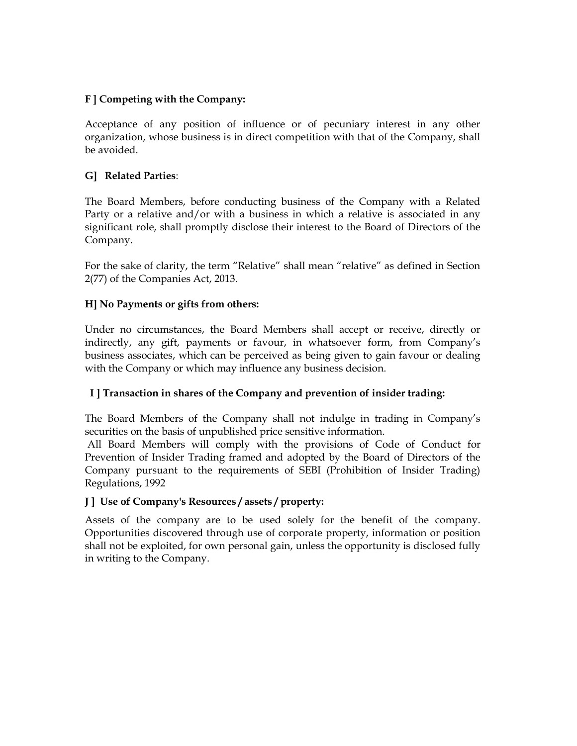## **F ] Competing with the Company:**

Acceptance of any position of influence or of pecuniary interest in any other organization, whose business is in direct competition with that of the Company, shall be avoided.

## **G] Related Parties**:

The Board Members, before conducting business of the Company with a Related Party or a relative and/or with a business in which a relative is associated in any significant role, shall promptly disclose their interest to the Board of Directors of the Company.

For the sake of clarity, the term "Relative" shall mean "relative" as defined in Section 2(77) of the Companies Act, 2013.

## **H] No Payments or gifts from others:**

Under no circumstances, the Board Members shall accept or receive, directly or indirectly, any gift, payments or favour, in whatsoever form, from Company's business associates, which can be perceived as being given to gain favour or dealing with the Company or which may influence any business decision.

# **I ] Transaction in shares of the Company and prevention of insider trading:**

The Board Members of the Company shall not indulge in trading in Company's securities on the basis of unpublished price sensitive information.

All Board Members will comply with the provisions of Code of Conduct for Prevention of Insider Trading framed and adopted by the Board of Directors of the Company pursuant to the requirements of SEBI (Prohibition of Insider Trading) Regulations, 1992

## **J ] Use of Company's Resources / assets / property:**

Assets of the company are to be used solely for the benefit of the company. Opportunities discovered through use of corporate property, information or position shall not be exploited, for own personal gain, unless the opportunity is disclosed fully in writing to the Company.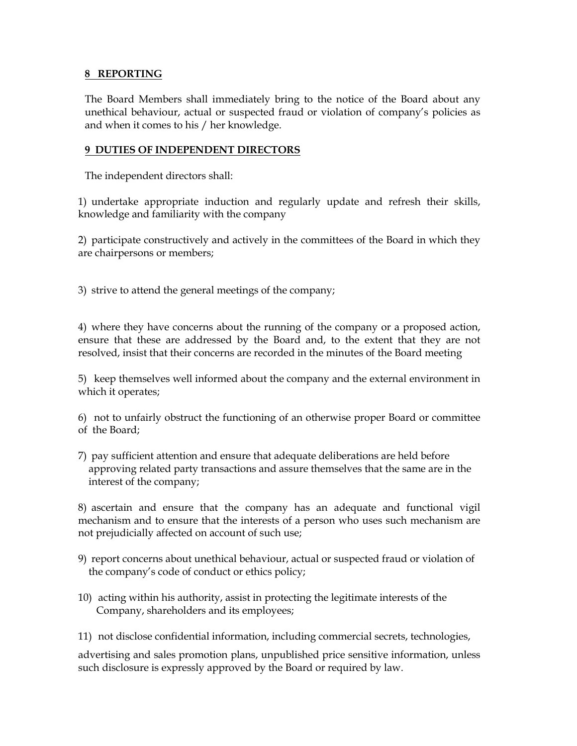#### **8 REPORTING**

The Board Members shall immediately bring to the notice of the Board about any unethical behaviour, actual or suspected fraud or violation of company's policies as and when it comes to his / her knowledge.

## **9 DUTIES OF INDEPENDENT DIRECTORS**

The independent directors shall:

1) undertake appropriate induction and regularly update and refresh their skills, knowledge and familiarity with the company

2) participate constructively and actively in the committees of the Board in which they are chairpersons or members;

3) strive to attend the general meetings of the company;

4) where they have concerns about the running of the company or a proposed action, ensure that these are addressed by the Board and, to the extent that they are not resolved, insist that their concerns are recorded in the minutes of the Board meeting

5) keep themselves well informed about the company and the external environment in which it operates;

6) not to unfairly obstruct the functioning of an otherwise proper Board or committee of the Board;

7) pay sufficient attention and ensure that adequate deliberations are held before approving related party transactions and assure themselves that the same are in the interest of the company;

8) ascertain and ensure that the company has an adequate and functional vigil mechanism and to ensure that the interests of a person who uses such mechanism are not prejudicially affected on account of such use;

- 9) report concerns about unethical behaviour, actual or suspected fraud or violation of the company's code of conduct or ethics policy;
- 10) acting within his authority, assist in protecting the legitimate interests of the Company, shareholders and its employees;
- 11) not disclose confidential information, including commercial secrets, technologies,

advertising and sales promotion plans, unpublished price sensitive information, unless such disclosure is expressly approved by the Board or required by law.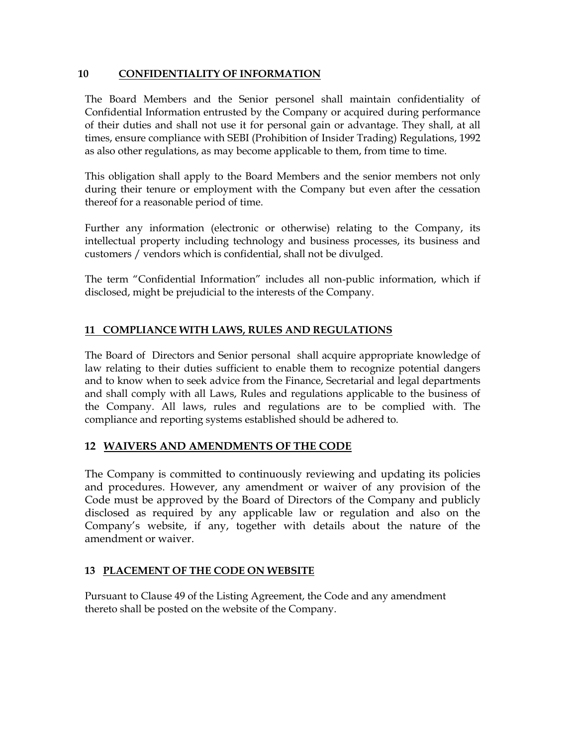## **10 CONFIDENTIALITY OF INFORMATION**

The Board Members and the Senior personel shall maintain confidentiality of Confidential Information entrusted by the Company or acquired during performance of their duties and shall not use it for personal gain or advantage. They shall, at all times, ensure compliance with SEBI (Prohibition of Insider Trading) Regulations, 1992 as also other regulations, as may become applicable to them, from time to time.

This obligation shall apply to the Board Members and the senior members not only during their tenure or employment with the Company but even after the cessation thereof for a reasonable period of time.

Further any information (electronic or otherwise) relating to the Company, its intellectual property including technology and business processes, its business and customers / vendors which is confidential, shall not be divulged.

The term "Confidential Information" includes all non-public information, which if disclosed, might be prejudicial to the interests of the Company.

# **11 COMPLIANCE WITH LAWS, RULES AND REGULATIONS**

The Board of Directors and Senior personal shall acquire appropriate knowledge of law relating to their duties sufficient to enable them to recognize potential dangers and to know when to seek advice from the Finance, Secretarial and legal departments and shall comply with all Laws, Rules and regulations applicable to the business of the Company. All laws, rules and regulations are to be complied with. The compliance and reporting systems established should be adhered to.

# **12 WAIVERS AND AMENDMENTS OF THE CODE**

The Company is committed to continuously reviewing and updating its policies and procedures. However, any amendment or waiver of any provision of the Code must be approved by the Board of Directors of the Company and publicly disclosed as required by any applicable law or regulation and also on the Company's website, if any, together with details about the nature of the amendment or waiver.

## **13 PLACEMENT OF THE CODE ON WEBSITE**

Pursuant to Clause 49 of the Listing Agreement, the Code and any amendment thereto shall be posted on the website of the Company.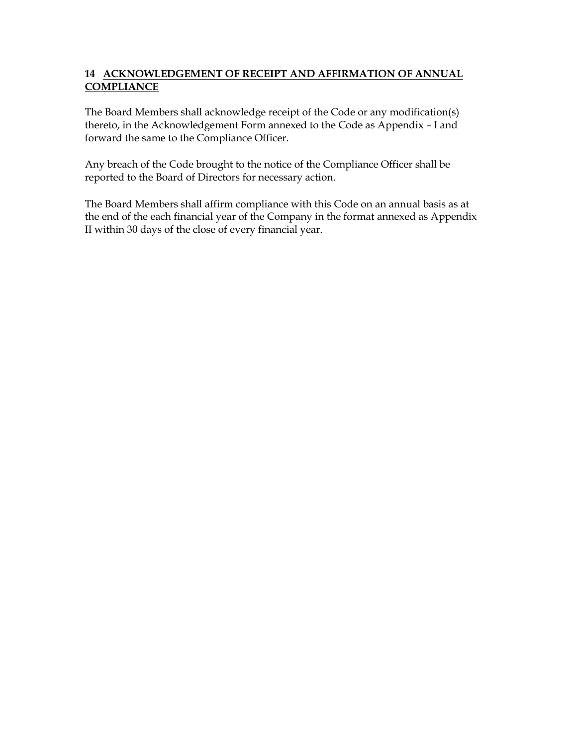## **14 ACKNOWLEDGEMENT OF RECEIPT AND AFFIRMATION OF ANNUAL COMPLIANCE**

The Board Members shall acknowledge receipt of the Code or any modification(s) thereto, in the Acknowledgement Form annexed to the Code as Appendix – I and forward the same to the Compliance Officer.

Any breach of the Code brought to the notice of the Compliance Officer shall be reported to the Board of Directors for necessary action.

The Board Members shall affirm compliance with this Code on an annual basis as at the end of the each financial year of the Company in the format annexed as Appendix II within 30 days of the close of every financial year.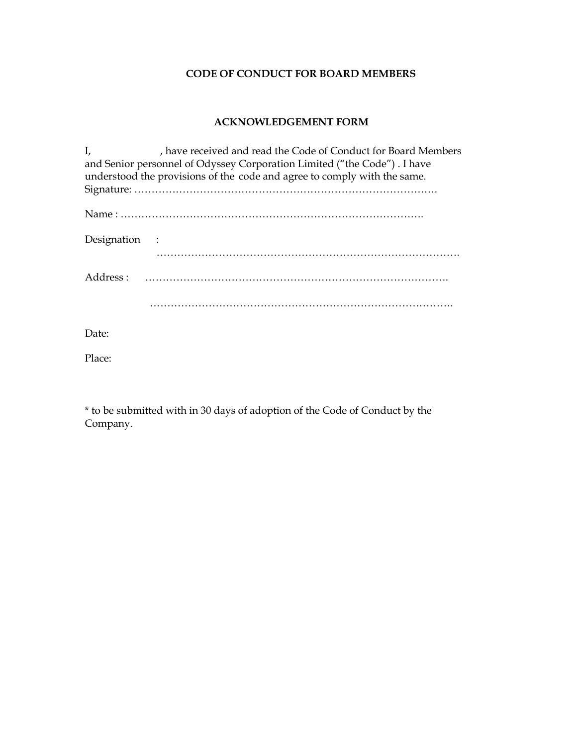# **CODE OF CONDUCT FOR BOARD MEMBERS**

# **ACKNOWLEDGEMENT FORM**

| , have received and read the Code of Conduct for Board Members<br>I,     |
|--------------------------------------------------------------------------|
| and Senior personnel of Odyssey Corporation Limited ("the Code"). I have |
| understood the provisions of the code and agree to comply with the same. |
|                                                                          |
|                                                                          |
| Designation :                                                            |
|                                                                          |
| Address :                                                                |
|                                                                          |
| Date:                                                                    |

Place:

\* to be submitted with in 30 days of adoption of the Code of Conduct by the Company.